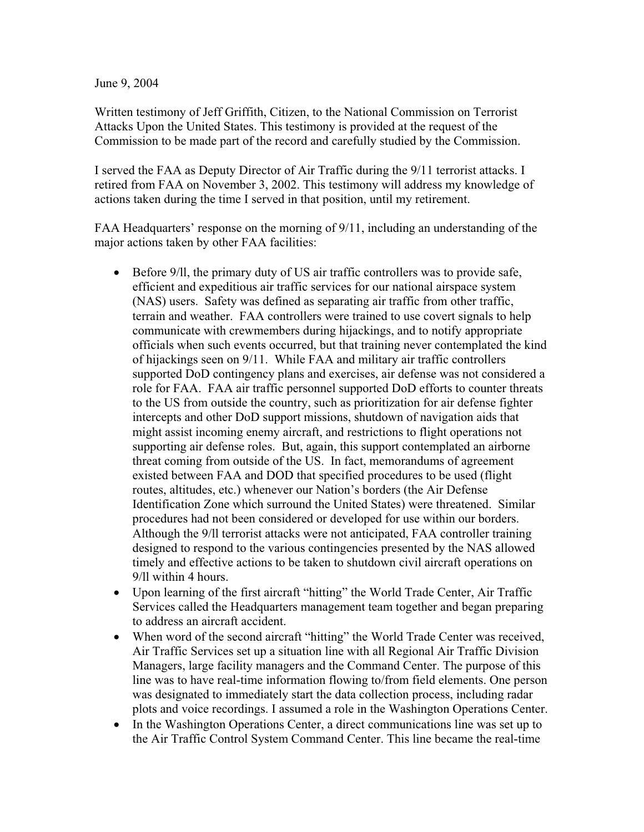June 9, 2004

Written testimony of Jeff Griffith, Citizen, to the National Commission on Terrorist Attacks Upon the United States. This testimony is provided at the request of the Commission to be made part of the record and carefully studied by the Commission.

I served the FAA as Deputy Director of Air Traffic during the 9/11 terrorist attacks. I retired from FAA on November 3, 2002. This testimony will address my knowledge of actions taken during the time I served in that position, until my retirement.

FAA Headquarters' response on the morning of 9/11, including an understanding of the major actions taken by other FAA facilities:

- $\bullet$  Before 9/ll, the primary duty of US air traffic controllers was to provide safe, efficient and expeditious air traffic services for our national airspace system (NAS) users. Safety was defined as separating air traffic from other traffic, terrain and weather. FAA controllers were trained to use covert signals to help communicate with crewmembers during hijackings, and to notify appropriate officials when such events occurred, but that training never contemplated the kind of hijackings seen on 9/11. While FAA and military air traffic controllers supported DoD contingency plans and exercises, air defense was not considered a role for FAA. FAA air traffic personnel supported DoD efforts to counter threats to the US from outside the country, such as prioritization for air defense fighter intercepts and other DoD support missions, shutdown of navigation aids that might assist incoming enemy aircraft, and restrictions to flight operations not supporting air defense roles. But, again, this support contemplated an airborne threat coming from outside of the US. In fact, memorandums of agreement existed between FAA and DOD that specified procedures to be used (flight routes, altitudes, etc.) whenever our Nation's borders (the Air Defense Identification Zone which surround the United States) were threatened. Similar procedures had not been considered or developed for use within our borders. Although the 9/ll terrorist attacks were not anticipated, FAA controller training designed to respond to the various contingencies presented by the NAS allowed timely and effective actions to be taken to shutdown civil aircraft operations on 9/ll within 4 hours.
- Upon learning of the first aircraft "hitting" the World Trade Center, Air Traffic Services called the Headquarters management team together and began preparing to address an aircraft accident.
- When word of the second aircraft "hitting" the World Trade Center was received, Air Traffic Services set up a situation line with all Regional Air Traffic Division Managers, large facility managers and the Command Center. The purpose of this line was to have real-time information flowing to/from field elements. One person was designated to immediately start the data collection process, including radar plots and voice recordings. I assumed a role in the Washington Operations Center.
- In the Washington Operations Center, a direct communications line was set up to the Air Traffic Control System Command Center. This line became the real-time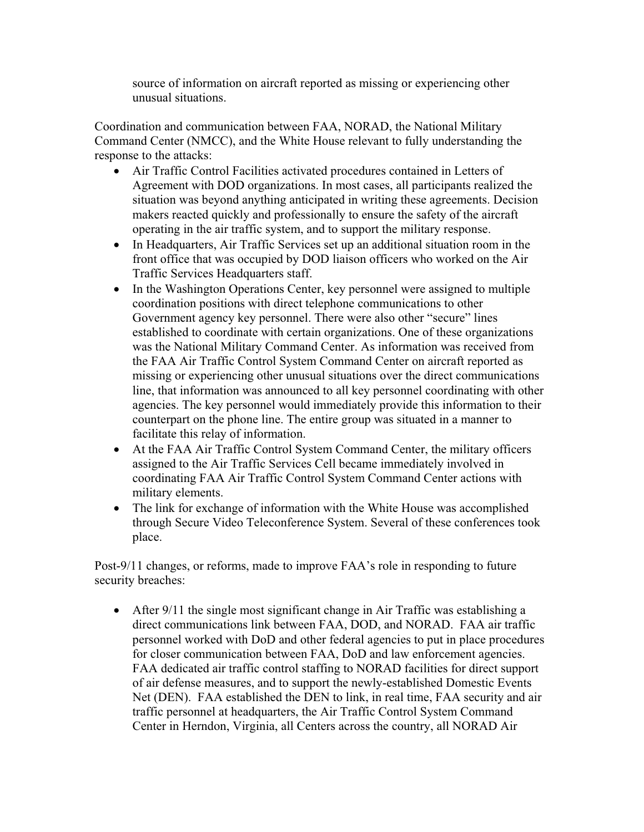source of information on aircraft reported as missing or experiencing other unusual situations.

Coordination and communication between FAA, NORAD, the National Military Command Center (NMCC), and the White House relevant to fully understanding the response to the attacks:

- Air Traffic Control Facilities activated procedures contained in Letters of Agreement with DOD organizations. In most cases, all participants realized the situation was beyond anything anticipated in writing these agreements. Decision makers reacted quickly and professionally to ensure the safety of the aircraft operating in the air traffic system, and to support the military response.
- In Headquarters, Air Traffic Services set up an additional situation room in the front office that was occupied by DOD liaison officers who worked on the Air Traffic Services Headquarters staff.
- In the Washington Operations Center, key personnel were assigned to multiple coordination positions with direct telephone communications to other Government agency key personnel. There were also other "secure" lines established to coordinate with certain organizations. One of these organizations was the National Military Command Center. As information was received from the FAA Air Traffic Control System Command Center on aircraft reported as missing or experiencing other unusual situations over the direct communications line, that information was announced to all key personnel coordinating with other agencies. The key personnel would immediately provide this information to their counterpart on the phone line. The entire group was situated in a manner to facilitate this relay of information.
- At the FAA Air Traffic Control System Command Center, the military officers assigned to the Air Traffic Services Cell became immediately involved in coordinating FAA Air Traffic Control System Command Center actions with military elements.
- The link for exchange of information with the White House was accomplished through Secure Video Teleconference System. Several of these conferences took place.

Post-9/11 changes, or reforms, made to improve FAA's role in responding to future security breaches:

• After  $9/11$  the single most significant change in Air Traffic was establishing a direct communications link between FAA, DOD, and NORAD. FAA air traffic personnel worked with DoD and other federal agencies to put in place procedures for closer communication between FAA, DoD and law enforcement agencies. FAA dedicated air traffic control staffing to NORAD facilities for direct support of air defense measures, and to support the newly-established Domestic Events Net (DEN). FAA established the DEN to link, in real time, FAA security and air traffic personnel at headquarters, the Air Traffic Control System Command Center in Herndon, Virginia, all Centers across the country, all NORAD Air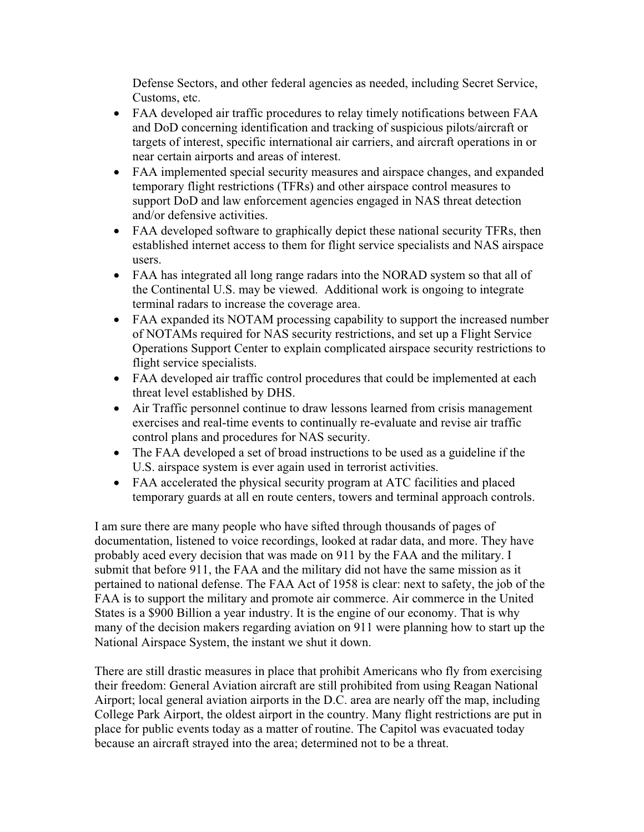Defense Sectors, and other federal agencies as needed, including Secret Service, Customs, etc.

- FAA developed air traffic procedures to relay timely notifications between FAA and DoD concerning identification and tracking of suspicious pilots/aircraft or targets of interest, specific international air carriers, and aircraft operations in or near certain airports and areas of interest.
- FAA implemented special security measures and airspace changes, and expanded temporary flight restrictions (TFRs) and other airspace control measures to support DoD and law enforcement agencies engaged in NAS threat detection and/or defensive activities.
- FAA developed software to graphically depict these national security TFRs, then established internet access to them for flight service specialists and NAS airspace users.
- FAA has integrated all long range radars into the NORAD system so that all of the Continental U.S. may be viewed. Additional work is ongoing to integrate terminal radars to increase the coverage area.
- FAA expanded its NOTAM processing capability to support the increased number of NOTAMs required for NAS security restrictions, and set up a Flight Service Operations Support Center to explain complicated airspace security restrictions to flight service specialists.
- FAA developed air traffic control procedures that could be implemented at each threat level established by DHS.
- Air Traffic personnel continue to draw lessons learned from crisis management exercises and real-time events to continually re-evaluate and revise air traffic control plans and procedures for NAS security.
- The FAA developed a set of broad instructions to be used as a guideline if the U.S. airspace system is ever again used in terrorist activities.
- FAA accelerated the physical security program at ATC facilities and placed temporary guards at all en route centers, towers and terminal approach controls.

I am sure there are many people who have sifted through thousands of pages of documentation, listened to voice recordings, looked at radar data, and more. They have probably aced every decision that was made on 911 by the FAA and the military. I submit that before 911, the FAA and the military did not have the same mission as it pertained to national defense. The FAA Act of 1958 is clear: next to safety, the job of the FAA is to support the military and promote air commerce. Air commerce in the United States is a \$900 Billion a year industry. It is the engine of our economy. That is why many of the decision makers regarding aviation on 911 were planning how to start up the National Airspace System, the instant we shut it down.

There are still drastic measures in place that prohibit Americans who fly from exercising their freedom: General Aviation aircraft are still prohibited from using Reagan National Airport; local general aviation airports in the D.C. area are nearly off the map, including College Park Airport, the oldest airport in the country. Many flight restrictions are put in place for public events today as a matter of routine. The Capitol was evacuated today because an aircraft strayed into the area; determined not to be a threat.